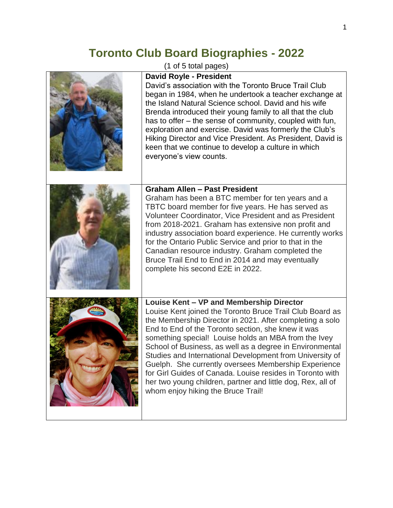## **Toronto Club Board Biographies - 2022**

(1 of 5 total pages)

| <b>David Royle - President</b><br>David's association with the Toronto Bruce Trail Club<br>began in 1984, when he undertook a teacher exchange at<br>the Island Natural Science school. David and his wife<br>Brenda introduced their young family to all that the club<br>has to offer – the sense of community, coupled with fun,<br>exploration and exercise. David was formerly the Club's<br>Hiking Director and Vice President. As President, David is<br>keen that we continue to develop a culture in which<br>everyone's view counts.                                                                                   |
|----------------------------------------------------------------------------------------------------------------------------------------------------------------------------------------------------------------------------------------------------------------------------------------------------------------------------------------------------------------------------------------------------------------------------------------------------------------------------------------------------------------------------------------------------------------------------------------------------------------------------------|
| <b>Graham Allen - Past President</b><br>Graham has been a BTC member for ten years and a<br>TBTC board member for five years. He has served as<br>Volunteer Coordinator, Vice President and as President<br>from 2018-2021. Graham has extensive non profit and<br>industry association board experience. He currently works<br>for the Ontario Public Service and prior to that in the<br>Canadian resource industry. Graham completed the<br>Bruce Trail End to End in 2014 and may eventually<br>complete his second E2E in 2022.                                                                                             |
| Louise Kent - VP and Membership Director<br>Louise Kent joined the Toronto Bruce Trail Club Board as<br>the Membership Director in 2021. After completing a solo<br>End to End of the Toronto section, she knew it was<br>something special! Louise holds an MBA from the Ivey<br>School of Business, as well as a degree in Environmental<br>Studies and International Development from University of<br>Guelph. She currently oversees Membership Experience<br>for Girl Guides of Canada. Louise resides in Toronto with<br>her two young children, partner and little dog, Rex, all of<br>whom enjoy hiking the Bruce Trail! |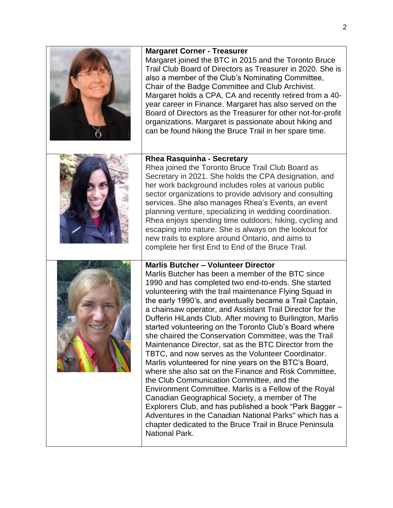| <b>Margaret Corner - Treasurer</b><br>Margaret joined the BTC in 2015 and the Toronto Bruce<br>Trail Club Board of Directors as Treasurer in 2020. She is<br>also a member of the Club's Nominating Committee,<br>Chair of the Badge Committee and Club Archivist.<br>Margaret holds a CPA, CA and recently retired from a 40-<br>year career in Finance. Margaret has also served on the<br>Board of Directors as the Treasurer for other not-for-profit<br>organizations. Margaret is passionate about hiking and<br>can be found hiking the Bruce Trail in her spare time.                                                                                                                                                                                                                                                                                                                                                                                                                                                                                                                                           |
|-------------------------------------------------------------------------------------------------------------------------------------------------------------------------------------------------------------------------------------------------------------------------------------------------------------------------------------------------------------------------------------------------------------------------------------------------------------------------------------------------------------------------------------------------------------------------------------------------------------------------------------------------------------------------------------------------------------------------------------------------------------------------------------------------------------------------------------------------------------------------------------------------------------------------------------------------------------------------------------------------------------------------------------------------------------------------------------------------------------------------|
| <b>Rhea Rasquinha - Secretary</b><br>Rhea joined the Toronto Bruce Trail Club Board as<br>Secretary in 2021. She holds the CPA designation, and<br>her work background includes roles at various public<br>sector organizations to provide advisory and consulting<br>services. She also manages Rhea's Events, an event<br>planning venture, specializing in wedding coordination.<br>Rhea enjoys spending time outdoors; hiking, cycling and<br>escaping into nature. She is always on the lookout for<br>new trails to explore around Ontario, and aims to<br>complete her first End to End of the Bruce Trail.                                                                                                                                                                                                                                                                                                                                                                                                                                                                                                      |
| <b>Marlis Butcher - Volunteer Director</b><br>Marlis Butcher has been a member of the BTC since<br>1990 and has completed two end-to-ends. She started<br>volunteering with the trail maintenance Flying Squad in<br>the early 1990's, and eventually became a Trail Captain,<br>a chainsaw operator, and Assistant Trail Director for the<br>Dufferin HiLands Club. After moving to Burlington, Marlis<br>started volunteering on the Toronto Club's Board where<br>she chaired the Conservation Committee, was the Trail<br>Maintenance Director, sat as the BTC Director from the<br>TBTC, and now serves as the Volunteer Coordinator.<br>Marlis volunteered for nine years on the BTC's Board,<br>where she also sat on the Finance and Risk Committee,<br>the Club Communication Committee, and the<br>Environment Committee. Marlis is a Fellow of the Royal<br>Canadian Geographical Society, a member of The<br>Explorers Club, and has published a book "Park Bagger -<br>Adventures in the Canadian National Parks" which has a<br>chapter dedicated to the Bruce Trail in Bruce Peninsula<br>National Park. |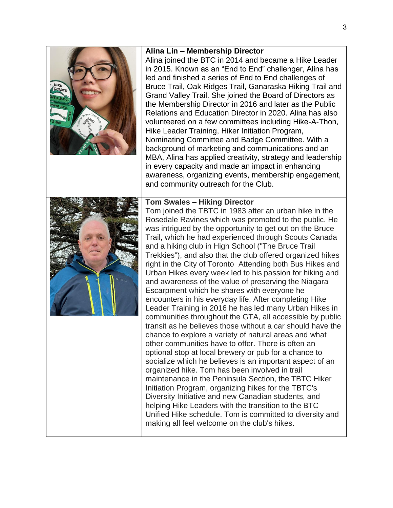## **Alina Lin – Membership Director** Alina joined the BTC in 2014 and became a Hike Leader in 2015. Known as an "End to End" challenger, Alina has led and finished a series of End to End challenges of Bruce Trail, Oak Ridges Trail, Ganaraska Hiking Trail and Grand Valley Trail. She joined the Board of Directors as the Membership Director in 2016 and later as the Public Relations and Education Director in 2020. Alina has also volunteered on a few committees including Hike-A-Thon, Hike Leader Training, Hiker Initiation Program, Nominating Committee and Badge Committee. With a background of marketing and communications and an MBA, Alina has applied creativity, strategy and leadership in every capacity and made an impact in enhancing awareness, organizing events, membership engagement, and community outreach for the Club. **Tom Swales – Hiking Director** Tom joined the TBTC in 1983 after an urban hike in the Rosedale Ravines which was promoted to the public. He was intrigued by the opportunity to get out on the Bruce Trail, which he had experienced through Scouts Canada and a hiking club in High School ("The Bruce Trail Trekkies"), and also that the club offered organized hikes right in the City of Toronto Attending both Bus Hikes and Urban Hikes every week led to his passion for hiking and and awareness of the value of preserving the Niagara Escarpment which he shares with everyone he encounters in his everyday life. After completing Hike Leader Training in 2016 he has led many Urban Hikes in communities throughout the GTA, all accessible by public transit as he believes those without a car should have the chance to explore a variety of natural areas and what other communities have to offer. There is often an optional stop at local brewery or pub for a chance to socialize which he believes is an important aspect of an organized hike. Tom has been involved in trail maintenance in the Peninsula Section, the TBTC Hiker Initiation Program, organizing hikes for the TBTC's Diversity Initiative and new Canadian students, and helping Hike Leaders with the transition to the BTC Unified Hike schedule. Tom is committed to diversity and making all feel welcome on the club's hikes.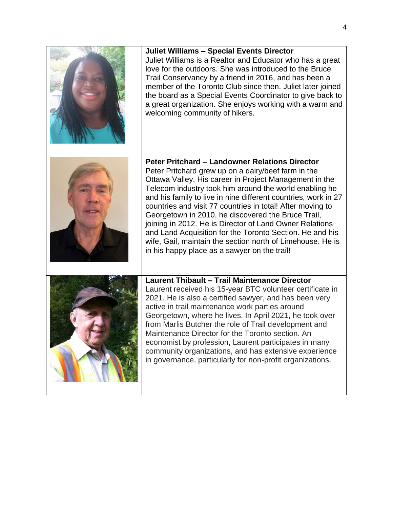| <b>Juliet Williams - Special Events Director</b><br>Juliet Williams is a Realtor and Educator who has a great<br>love for the outdoors. She was introduced to the Bruce<br>Trail Conservancy by a friend in 2016, and has been a<br>member of the Toronto Club since then. Juliet later joined<br>the board as a Special Events Coordinator to give back to<br>a great organization. She enjoys working with a warm and<br>welcoming community of hikers.                                                                                                                                                                                                   |
|-------------------------------------------------------------------------------------------------------------------------------------------------------------------------------------------------------------------------------------------------------------------------------------------------------------------------------------------------------------------------------------------------------------------------------------------------------------------------------------------------------------------------------------------------------------------------------------------------------------------------------------------------------------|
| <b>Peter Pritchard - Landowner Relations Director</b><br>Peter Pritchard grew up on a dairy/beef farm in the<br>Ottawa Valley. His career in Project Management in the<br>Telecom industry took him around the world enabling he<br>and his family to live in nine different countries, work in 27<br>countries and visit 77 countries in total! After moving to<br>Georgetown in 2010, he discovered the Bruce Trail,<br>joining in 2012. He is Director of Land Owner Relations<br>and Land Acquisition for the Toronto Section. He and his<br>wife, Gail, maintain the section north of Limehouse. He is<br>in his happy place as a sawyer on the trail! |
| Laurent Thibault - Trail Maintenance Director<br>Laurent received his 15-year BTC volunteer certificate in<br>2021. He is also a certified sawyer, and has been very<br>active in trail maintenance work parties around<br>Georgetown, where he lives. In April 2021, he took over<br>from Marlis Butcher the role of Trail development and<br>Maintenance Director for the Toronto section. An<br>economist by profession, Laurent participates in many<br>community organizations, and has extensive experience<br>in governance, particularly for non-profit organizations.                                                                              |